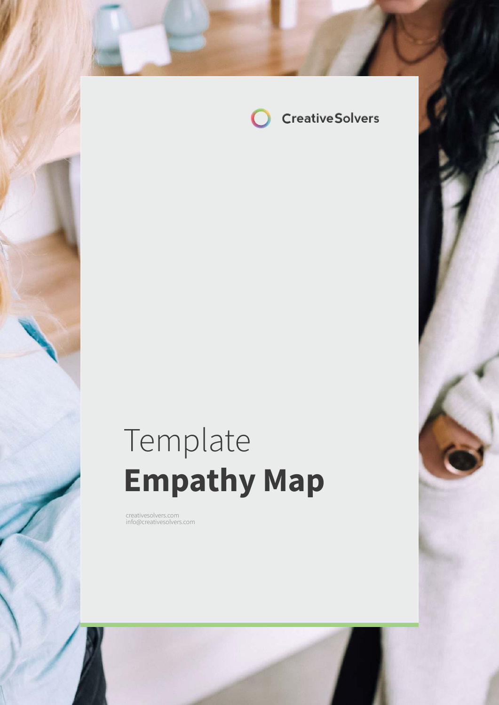

# Template **Empathy Map**

creatives of the international creatives of the international creatives of the international creatives of the

creativesolvers.com info@creativesolvers.com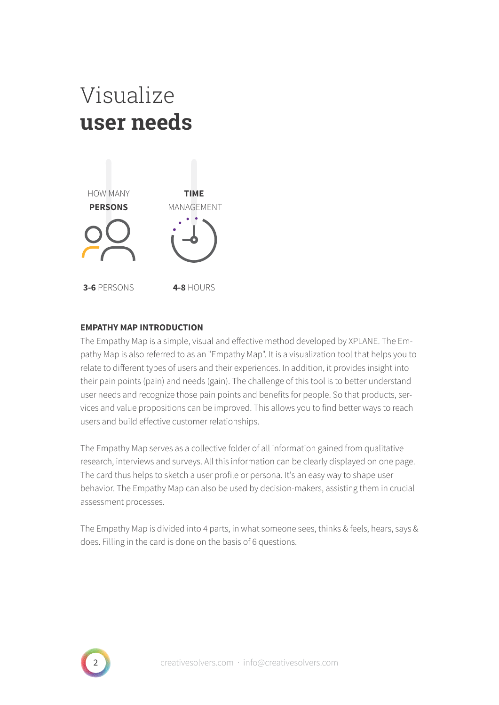## Visualize **user needs**



#### **EMPATHY MAP INTRODUCTION**

The Empathy Map is a simple, visual and effective method developed by XPLANE. The Empathy Map is also referred to as an "Empathy Map". It is a visualization tool that helps you to relate to different types of users and their experiences. In addition, it provides insight into their pain points (pain) and needs (gain). The challenge of this tool is to better understand user needs and recognize those pain points and benefits for people. So that products, services and value propositions can be improved. This allows you to find better ways to reach users and build effective customer relationships.

The Empathy Map serves as a collective folder of all information gained from qualitative research, interviews and surveys. All this information can be clearly displayed on one page. The card thus helps to sketch a user profile or persona. It's an easy way to shape user behavior. The Empathy Map can also be used by decision-makers, assisting them in crucial assessment processes.

The Empathy Map is divided into 4 parts, in what someone sees, thinks & feels, hears, says & does. Filling in the card is done on the basis of 6 questions.

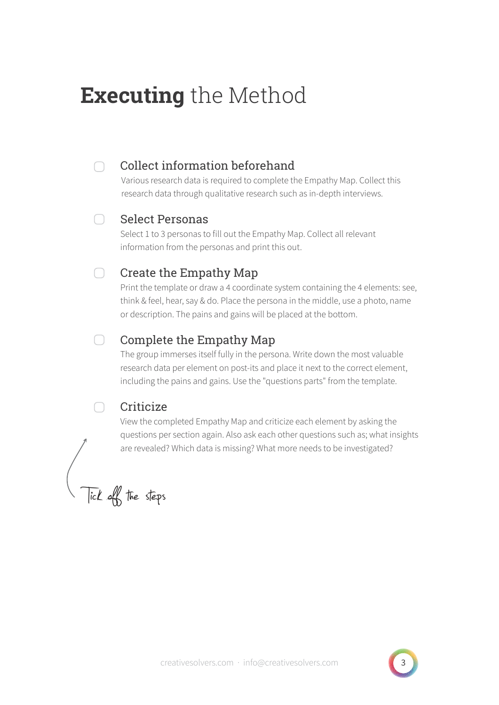## **Executing** the Method

#### $\cap$

### Collect information beforehand

Various research data is required to complete the Empathy Map. Collect this research data through qualitative research such as in-depth interviews.

#### Select Personas ∩

Select 1 to 3 personas to fill out the Empathy Map. Collect all relevant information from the personas and print this out.

#### $\bigcap$ Create the Empathy Map

Print the template or draw a 4 coordinate system containing the 4 elements: see, think & feel, hear, say & do. Place the persona in the middle, use a photo, name or description. The pains and gains will be placed at the bottom.

#### $\bigcap$ Complete the Empathy Map

The group immerses itself fully in the persona. Write down the most valuable research data per element on post-its and place it next to the correct element, including the pains and gains. Use the "questions parts" from the template.

### **Criticize**

∩

View the completed Empathy Map and criticize each element by asking the questions per section again. Also ask each other questions such as; what insights are revealed? Which data is missing? What more needs to be investigated?

Tick off the steps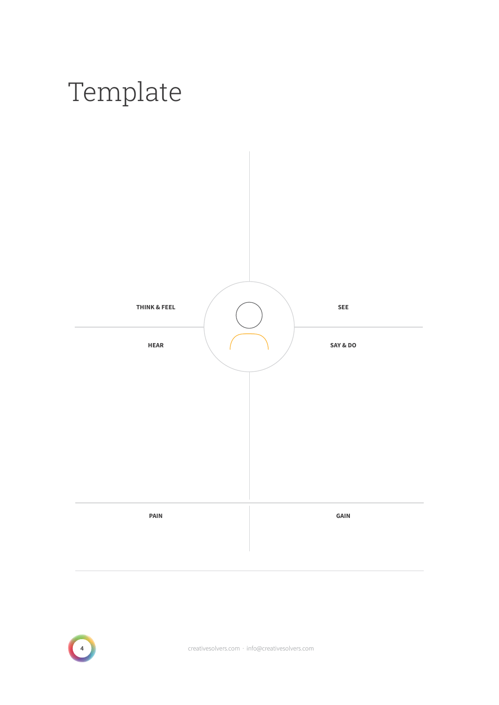



exameters of the creatives of versions of the creatives of versions of the creatives of versions of the creatives of versions of the creatives of versions of the creatives of versions of the creatives of versions of the cr